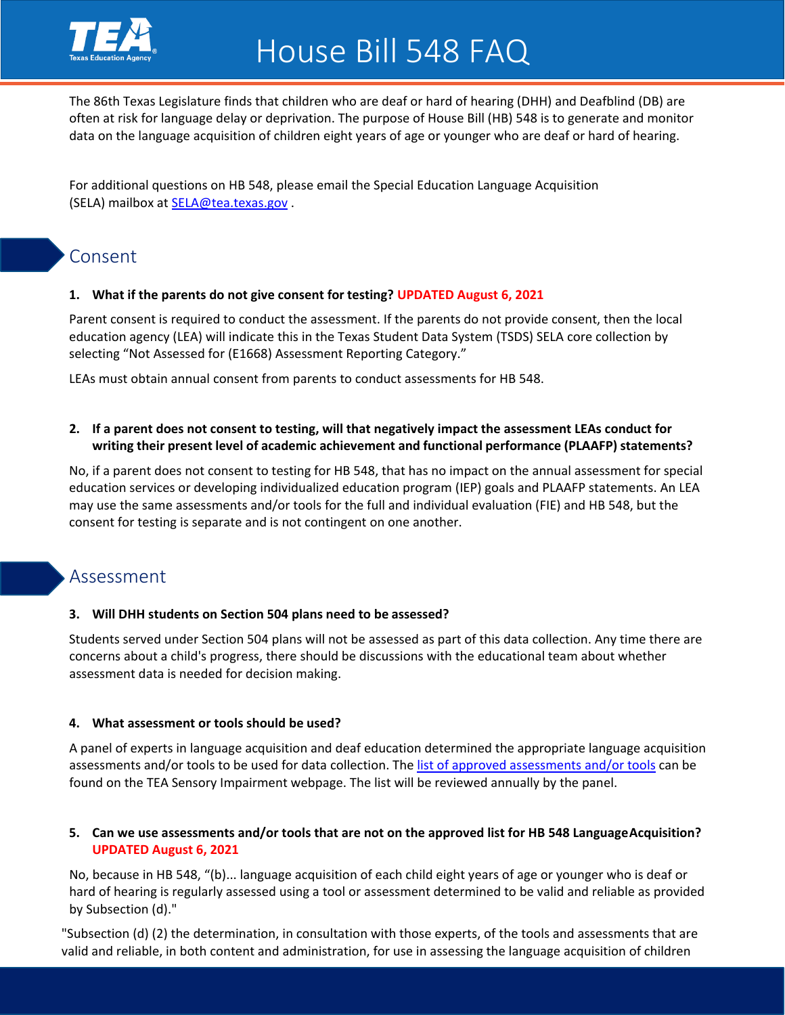

The 86th Texas Legislature finds that children who are deaf or hard of hearing (DHH) and Deafblind (DB) are often at risk for language delay or deprivation. The purpose of [House Bill \(HB\) 548 i](https://capitol.texas.gov/tlodocs/86R/billtext/pdf/HB00548F.pdf)s to generate and monitor data on the language acquisition of children eight years of age or younger who are deaf or hard of hearing.

For additional questions on HB 548, please email the Special Education Language Acquisition (SELA) mailbox at [SELA@tea.texas.gov](mailto:SELA@tea.texas.gov) .

# Consent

## **1. What if the parents do not give consent for testing? UPDATED August 6, 2021**

Parent consent is required to conduct the assessment. If the parents do not provide consent, then the local education agency (LEA) will indicate this in the Texas Student Data System (TSDS) SELA core collection by selecting "Not Assessed for (E1668) Assessment Reporting Category."

LEAs must obtain annual consent from parents to conduct assessments for HB 548.

### **2. If a parent does not consent to testing, will that negatively impact the assessment LEAs conduct for writing their present level of academic achievement and functional performance (PLAAFP) statements?**

No, if a parent does not consent to testing for HB 548, that has no impact on the annual assessment for special education services or developing individualized education program (IEP) goals and PLAAFP statements. An LEA may use the same assessments and/or tools for the full and individual evaluation (FIE) and HB 548, but the consent for testing is separate and is not contingent on one another.

# Assessment

#### **3. Will DHH students on Section 504 plans need to be assessed?**

Students served under Section 504 plans will not be assessed as part of this data collection. Any time there are concerns about a child's progress, there should be discussions with the educational team about whether assessment data is needed for decision making.

#### **4. What assessment or tools should be used?**

A panel of experts in language acquisition and deaf education determined the appropriate language acquisition assessments and/or tools to be used for data collection. The [list of approved assessments a](https://tea.texas.gov/sites/default/files/List%20of%20Assessments_HB548%28accessible%29.pdf)nd/or tools can be found on the TEA Sensory Impairment webpage. The list will be reviewed annually by the panel.

## **5. Can we use assessments and/or tools that are not on the approved list for HB 548 Language Acquisition? UPDATED August 6, 2021**

No, because in HB 548, "(b)... language acquisition of each child eight years of age or younger who is deaf or hard of hearing is regularly assessed using a tool or assessment determined to be valid and reliable as provided by Subsection (d)."

"Subsection (d) (2) the determination, in consultation with those experts, of the tools and assessments that are valid and reliable, in both content and administration, for use in assessing the language acquisition of children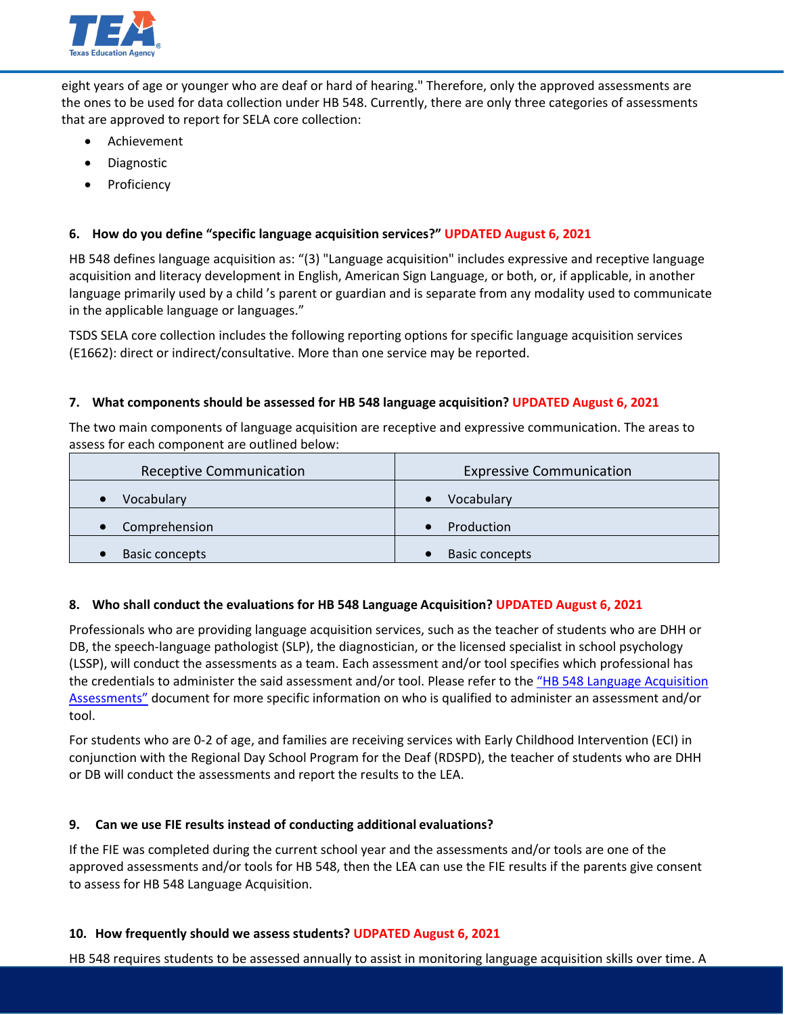

eight years of age or younger who are deaf or hard of hearing." Therefore, only the approved assessments are the ones to be used for data collection under HB 548. Currently, there are only three categories of assessments that are approved to report for SELA core collection:

- Achievement
- Diagnostic
- Proficiency

## **6. How do you define "specific language acquisition services?" UPDATED August 6, 2021**

HB 548 defines language acquisition as: "(3) "Language acquisition" includes expressive and receptive language acquisition and literacy development in English, American Sign Language, or both, or, if applicable, in another language primarily used by a child 's parent or guardian and is separate from any modality used to communicate in the applicable language or languages."

TSDS SELA core collection includes the following reporting options for specific language acquisition services (E1662): direct or indirect/consultative. More than one service may be reported.

### **7. What components should be assessed for HB 548 language acquisition? UPDATED August 6, 2021**

The two main components of language acquisition are receptive and expressive communication. The areas to assess for each component are outlined below:

| <b>Receptive Communication</b> | <b>Expressive Communication</b> |
|--------------------------------|---------------------------------|
| Vocabulary                     | Vocabulary                      |
| Comprehension                  | Production                      |
| Basic concepts                 | <b>Basic concepts</b>           |

#### **8. Who shall conduct the evaluations for HB 548 Language Acquisition? UPDATED August 6, 2021**

Professionals who are providing language acquisition services, such as the teacher of students who are DHH or DB, the speech-language pathologist (SLP), the diagnostician, or the licensed specialist in school psychology (LSSP), will conduct the assessments as a team. Each assessment and/or tool specifies which professional has the credentials to administer the said assessment and/or tool. Please refer to the ["HB 548 Language Acquisition](https://tea.texas.gov/sites/default/files/HB548LanguageAcquisitionAssessments_Tools.pdf) [Assessments"](https://tea.texas.gov/sites/default/files/HB548LanguageAcquisitionAssessments_Tools.pdf) document for more specific information on who is qualified to administer an assessment and/or tool.

For students who are 0-2 of age, and families are receiving services with Early Childhood Intervention (ECI) in conjunction with the Regional Day School Program for the Deaf (RDSPD), the teacher of students who are DHH or DB will conduct the assessments and report the results to the LEA.

## **9. Can we use FIE results instead of conducting additional evaluations?**

If the FIE was completed during the current school year and the assessments and/or tools are one of the approved assessments and/or tools for HB 548, then the LEA can use the FIE results if the parents give consent to assess for HB 548 Language Acquisition.

#### **10. How frequently should we assess students? UDPATED August 6, 2021**

HB 548 requires students to be assessed annually to assist in monitoring language acquisition skills over time. A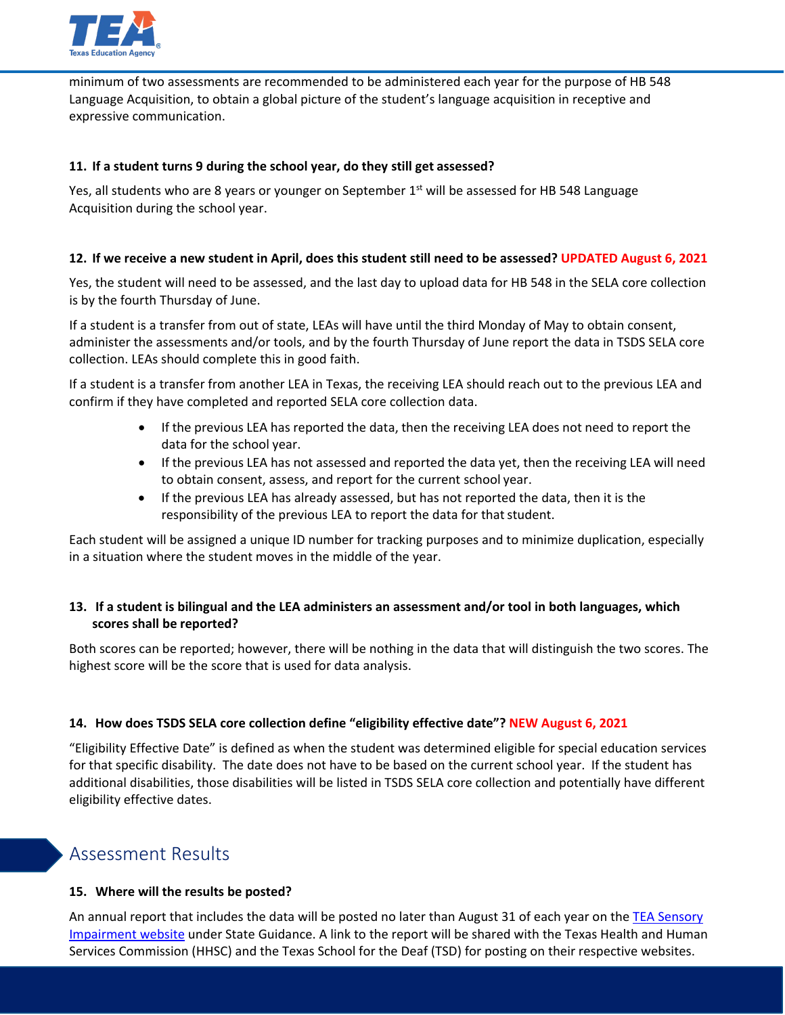

minimum of two assessments are recommended to be administered each year for the purpose of HB 548 Language Acquisition, to obtain a global picture of the student's language acquisition in receptive and expressive communication.

### **11. If a student turns 9 during the school year, do they still get assessed?**

Yes, all students who are 8 years or younger on September  $1<sup>st</sup>$  will be assessed for HB 548 Language Acquisition during the school year.

### **12. If we receive a new student in April, does this student still need to be assessed? UPDATED August 6, 2021**

Yes, the student will need to be assessed, and the last day to upload data for HB 548 in the SELA core collection is by the fourth Thursday of June.

If a student is a transfer from out of state, LEAs will have until the third Monday of May to obtain consent, administer the assessments and/or tools, and by the fourth Thursday of June report the data in TSDS SELA core collection. LEAs should complete this in good faith.

If a student is a transfer from another LEA in Texas, the receiving LEA should reach out to the previous LEA and confirm if they have completed and reported SELA core collection data.

- If the previous LEA has reported the data, then the receiving LEA does not need to report the data for the school year.
- If the previous LEA has not assessed and reported the data yet, then the receiving LEA will need to obtain consent, assess, and report for the current school year.
- If the previous LEA has already assessed, but has not reported the data, then it is the responsibility of the previous LEA to report the data for that student.

Each student will be assigned a unique ID number for tracking purposes and to minimize duplication, especially in a situation where the student moves in the middle of the year.

## **13. If a student is bilingual and the LEA administers an assessment and/or tool in both languages, which scores shall be reported?**

Both scores can be reported; however, there will be nothing in the data that will distinguish the two scores. The highest score will be the score that is used for data analysis.

## **14. How does TSDS SELA core collection define "eligibility effective date"? NEW August 6, 2021**

"Eligibility Effective Date" is defined as when the student was determined eligible for special education services for that specific disability. The date does not have to be based on the current school year. If the student has additional disabilities, those disabilities will be listed in TSDS SELA core collection and potentially have different eligibility effective dates.

# Assessment Results

#### **15. Where will the results be posted?**

An annual report that includes the data will be posted no later than August 31 of each year on the [TEA Sensory](https://tea.texas.gov/academics/special-student-populations/special-education/programs-and-services/sensory-impairments) [Impairment website](https://tea.texas.gov/academics/special-student-populations/special-education/programs-and-services/sensory-impairments) under State Guidance. A link to the report will be shared with the Texas Health and Human Services Commission (HHSC) and the Texas School for the Deaf (TSD) for posting on their respective websites.